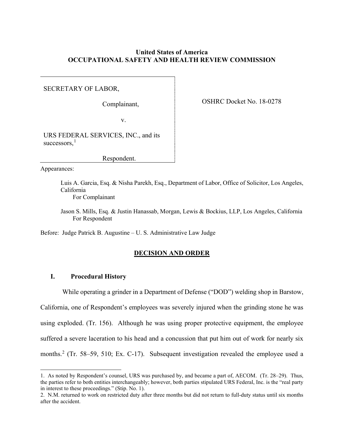# **United States of America OCCUPATIONAL SAFETY AND HEALTH REVIEW COMMISSION**

SECRETARY OF LABOR,

Complainant,

OSHRC Docket No. 18-0278

v.

URS FEDERAL SERVICES, INC., and its successors, $<sup>1</sup>$  $<sup>1</sup>$  $<sup>1</sup>$ </sup>

Respondent.

Appearances:

Luis A. Garcia, Esq. & Nisha Parekh, Esq., Department of Labor, Office of Solicitor, Los Angeles, California

For Complainant

Jason S. Mills, Esq. & Justin Hanassab, Morgan, Lewis & Bockius, LLP, Los Angeles, California For Respondent

Before: Judge Patrick B. Augustine – U. S. Administrative Law Judge

# **DECISION AND ORDER**

# **I. Procedural History**

While operating a grinder in a Department of Defense ("DOD") welding shop in Barstow,

California, one of Respondent's employees was severely injured when the grinding stone he was using exploded. (Tr. 156). Although he was using proper protective equipment, the employee suffered a severe laceration to his head and a concussion that put him out of work for nearly six months.<sup>[2](#page-0-0)</sup> (Tr. 58–59, 510; Ex. C-17). Subsequent investigation revealed the employee used a

<span id="page-0-1"></span><sup>1.</sup> As noted by Respondent's counsel, URS was purchased by, and became a part of, AECOM. (Tr. 28–29). Thus, the parties refer to both entities interchangeably; however, both parties stipulated URS Federal, Inc. is the "real party in interest to these proceedings." (Stip. No. 1).

<span id="page-0-0"></span><sup>2.</sup> N.M. returned to work on restricted duty after three months but did not return to full-duty status until six months after the accident.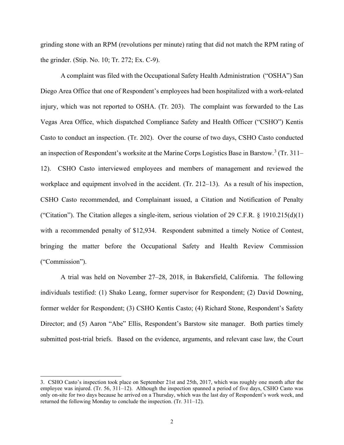grinding stone with an RPM (revolutions per minute) rating that did not match the RPM rating of the grinder. (Stip. No. 10; Tr. 272; Ex. C-9).

A complaint was filed with the Occupational Safety Health Administration ("OSHA") San Diego Area Office that one of Respondent's employees had been hospitalized with a work-related injury, which was not reported to OSHA. (Tr. 203). The complaint was forwarded to the Las Vegas Area Office, which dispatched Compliance Safety and Health Officer ("CSHO") Kentis Casto to conduct an inspection. (Tr. 202). Over the course of two days, CSHO Casto conducted an inspection of Respondent's worksite at the Marine Corps Logistics Base in Barstow.[3](#page-1-0) (Tr. 311– 12). CSHO Casto interviewed employees and members of management and reviewed the workplace and equipment involved in the accident. (Tr. 212–13). As a result of his inspection, CSHO Casto recommended, and Complainant issued, a Citation and Notification of Penalty ("Citation"). The Citation alleges a single-item, serious violation of 29 C.F.R.  $\S$  1910.215(d)(1) with a recommended penalty of \$12,934. Respondent submitted a timely Notice of Contest, bringing the matter before the Occupational Safety and Health Review Commission ("Commission").

A trial was held on November 27–28, 2018, in Bakersfield, California. The following individuals testified: (1) Shako Leang, former supervisor for Respondent; (2) David Downing, former welder for Respondent; (3) CSHO Kentis Casto; (4) Richard Stone, Respondent's Safety Director; and (5) Aaron "Abe" Ellis, Respondent's Barstow site manager. Both parties timely submitted post-trial briefs. Based on the evidence, arguments, and relevant case law, the Court

<span id="page-1-0"></span><sup>3.</sup> CSHO Casto's inspection took place on September 21st and 25th, 2017, which was roughly one month after the employee was injured. (Tr. 56, 311–12). Although the inspection spanned a period of five days, CSHO Casto was only on-site for two days because he arrived on a Thursday, which was the last day of Respondent's work week, and returned the following Monday to conclude the inspection. (Tr. 311–12).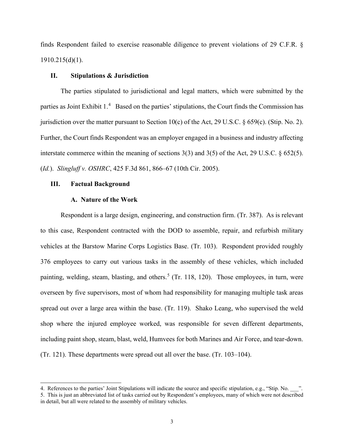finds Respondent failed to exercise reasonable diligence to prevent violations of 29 C.F.R. § 1910.215(d)(1).

## **II. Stipulations & Jurisdiction**

The parties stipulated to jurisdictional and legal matters, which were submitted by the parties as Joint Exhibit 1.<sup>[4](#page-2-0)</sup> Based on the parties' stipulations, the Court finds the Commission has jurisdiction over the matter pursuant to Section 10(c) of the Act, 29 U.S.C. § 659(c). (Stip. No. 2). Further, the Court finds Respondent was an employer engaged in a business and industry affecting interstate commerce within the meaning of sections 3(3) and 3(5) of the Act, 29 U.S.C. § 652(5). (*Id.*). *Slingluff v. OSHRC*, 425 F.3d 861, 866–67 (10th Cir. 2005).

### **III. Factual Background**

## **A. Nature of the Work**

Respondent is a large design, engineering, and construction firm. (Tr. 387). As is relevant to this case, Respondent contracted with the DOD to assemble, repair, and refurbish military vehicles at the Barstow Marine Corps Logistics Base. (Tr. 103). Respondent provided roughly 376 employees to carry out various tasks in the assembly of these vehicles, which included painting, welding, steam, blasting, and others.<sup>[5](#page-2-1)</sup> (Tr. 118, 120). Those employees, in turn, were overseen by five supervisors, most of whom had responsibility for managing multiple task areas spread out over a large area within the base. (Tr. 119). Shako Leang, who supervised the weld shop where the injured employee worked, was responsible for seven different departments, including paint shop, steam, blast, weld, Humvees for both Marines and Air Force, and tear-down. (Tr. 121). These departments were spread out all over the base. (Tr. 103–104).

<span id="page-2-0"></span><sup>4.</sup> References to the parties' Joint Stipulations will indicate the source and specific stipulation, e.g., "Stip. No.  $\ldots$ ".

<span id="page-2-1"></span><sup>5.</sup> This is just an abbreviated list of tasks carried out by Respondent's employees, many of which were not described in detail, but all were related to the assembly of military vehicles.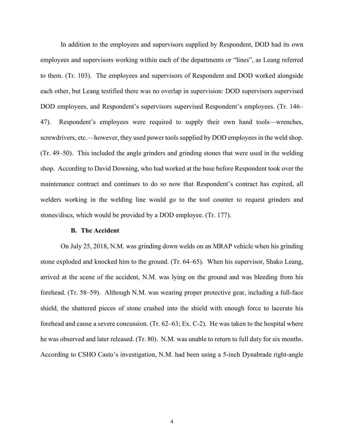In addition to the employees and supervisors supplied by Respondent, DOD had its own employees and supervisors working within each of the departments or "lines", as Leang referred to them. (Tr. 103). The employees and supervisors of Respondent and DOD worked alongside each other, but Leang testified there was no overlap in supervision: DOD supervisors supervised DOD employees, and Respondent's supervisors supervised Respondent's employees. (Tr. 146– 47). Respondent's employees were required to supply their own hand tools—wrenches, screwdrivers, etc.—however, they used power tools supplied by DOD employees in the weld shop. (Tr. 49–50). This included the angle grinders and grinding stones that were used in the welding shop. According to David Downing, who had worked at the base before Respondent took over the maintenance contract and continues to do so now that Respondent's contract has expired, all welders working in the welding line would go to the tool counter to request grinders and stones/discs, which would be provided by a DOD employee. (Tr. 177).

#### **B. The Accident**

On July 25, 2018, N.M. was grinding down welds on an MRAP vehicle when his grinding stone exploded and knocked him to the ground. (Tr. 64–65). When his supervisor, Shako Leang, arrived at the scene of the accident, N.M. was lying on the ground and was bleeding from his forehead. (Tr. 58–59). Although N.M. was wearing proper protective gear, including a full-face shield, the shattered pieces of stone crashed into the shield with enough force to lacerate his forehead and cause a severe concussion. (Tr. 62–63; Ex. C-2). He was taken to the hospital where he was observed and later released. (Tr. 80). N.M. was unable to return to full duty for six months. According to CSHO Casto's investigation, N.M. had been using a 5-inch Dynabrade right-angle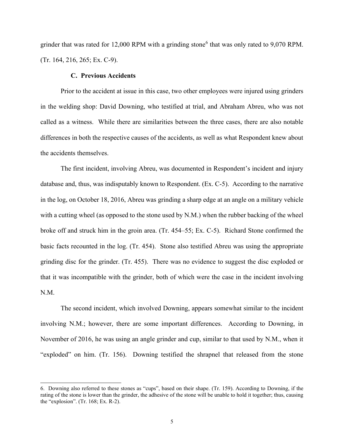grinder that was rated for 12,000 RPM with a grinding stone<sup>[6](#page-4-0)</sup> that was only rated to 9,070 RPM. (Tr. 164, 216, 265; Ex. C-9).

## **C. Previous Accidents**

 Prior to the accident at issue in this case, two other employees were injured using grinders in the welding shop: David Downing, who testified at trial, and Abraham Abreu, who was not called as a witness. While there are similarities between the three cases, there are also notable differences in both the respective causes of the accidents, as well as what Respondent knew about the accidents themselves.

The first incident, involving Abreu, was documented in Respondent's incident and injury database and, thus, was indisputably known to Respondent. (Ex. C-5). According to the narrative in the log, on October 18, 2016, Abreu was grinding a sharp edge at an angle on a military vehicle with a cutting wheel (as opposed to the stone used by N.M.) when the rubber backing of the wheel broke off and struck him in the groin area. (Tr. 454–55; Ex. C-5). Richard Stone confirmed the basic facts recounted in the log. (Tr. 454). Stone also testified Abreu was using the appropriate grinding disc for the grinder. (Tr. 455). There was no evidence to suggest the disc exploded or that it was incompatible with the grinder, both of which were the case in the incident involving N.M.

The second incident, which involved Downing, appears somewhat similar to the incident involving N.M.; however, there are some important differences. According to Downing, in November of 2016, he was using an angle grinder and cup, similar to that used by N.M., when it "exploded" on him. (Tr. 156). Downing testified the shrapnel that released from the stone

<span id="page-4-0"></span><sup>6.</sup> Downing also referred to these stones as "cups", based on their shape. (Tr. 159). According to Downing, if the rating of the stone is lower than the grinder, the adhesive of the stone will be unable to hold it together; thus, causing the "explosion". (Tr. 168; Ex. R-2).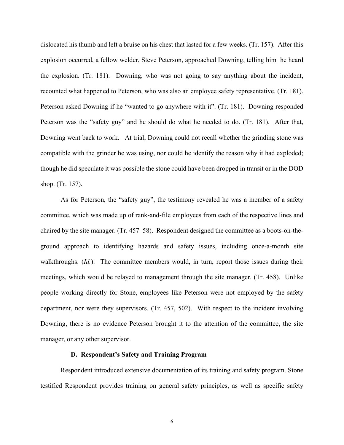dislocated his thumb and left a bruise on his chest that lasted for a few weeks. (Tr. 157). After this explosion occurred, a fellow welder, Steve Peterson, approached Downing, telling him he heard the explosion. (Tr. 181). Downing, who was not going to say anything about the incident, recounted what happened to Peterson, who was also an employee safety representative. (Tr. 181). Peterson asked Downing if he "wanted to go anywhere with it". (Tr. 181). Downing responded Peterson was the "safety guy" and he should do what he needed to do. (Tr. 181). After that, Downing went back to work. At trial, Downing could not recall whether the grinding stone was compatible with the grinder he was using, nor could he identify the reason why it had exploded; though he did speculate it was possible the stone could have been dropped in transit or in the DOD shop. (Tr. 157).

As for Peterson, the "safety guy", the testimony revealed he was a member of a safety committee, which was made up of rank-and-file employees from each of the respective lines and chaired by the site manager. (Tr. 457–58). Respondent designed the committee as a boots-on-theground approach to identifying hazards and safety issues, including once-a-month site walkthroughs. (*Id.*). The committee members would, in turn, report those issues during their meetings, which would be relayed to management through the site manager. (Tr. 458). Unlike people working directly for Stone, employees like Peterson were not employed by the safety department, nor were they supervisors. (Tr. 457, 502). With respect to the incident involving Downing, there is no evidence Peterson brought it to the attention of the committee, the site manager, or any other supervisor.

### **D. Respondent's Safety and Training Program**

Respondent introduced extensive documentation of its training and safety program. Stone testified Respondent provides training on general safety principles, as well as specific safety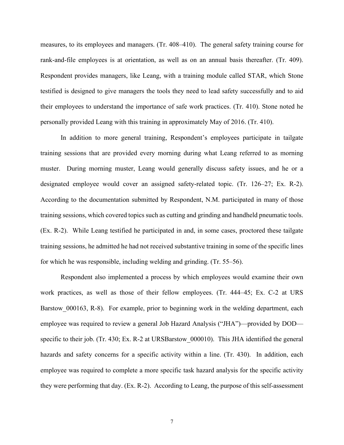measures, to its employees and managers. (Tr. 408–410). The general safety training course for rank-and-file employees is at orientation, as well as on an annual basis thereafter. (Tr. 409). Respondent provides managers, like Leang, with a training module called STAR, which Stone testified is designed to give managers the tools they need to lead safety successfully and to aid their employees to understand the importance of safe work practices. (Tr. 410). Stone noted he personally provided Leang with this training in approximately May of 2016. (Tr. 410).

In addition to more general training, Respondent's employees participate in tailgate training sessions that are provided every morning during what Leang referred to as morning muster. During morning muster, Leang would generally discuss safety issues, and he or a designated employee would cover an assigned safety-related topic. (Tr. 126–27; Ex. R-2). According to the documentation submitted by Respondent, N.M. participated in many of those training sessions, which covered topics such as cutting and grinding and handheld pneumatic tools. (Ex. R-2). While Leang testified he participated in and, in some cases, proctored these tailgate training sessions, he admitted he had not received substantive training in some of the specific lines for which he was responsible, including welding and grinding. (Tr. 55–56).

Respondent also implemented a process by which employees would examine their own work practices, as well as those of their fellow employees. (Tr. 444–45; Ex. C-2 at URS Barstow 000163, R-8). For example, prior to beginning work in the welding department, each employee was required to review a general Job Hazard Analysis ("JHA")—provided by DOD specific to their job. (Tr. 430; Ex. R-2 at URSBarstow 000010). This JHA identified the general hazards and safety concerns for a specific activity within a line. (Tr. 430). In addition, each employee was required to complete a more specific task hazard analysis for the specific activity they were performing that day. (Ex. R-2). According to Leang, the purpose of this self-assessment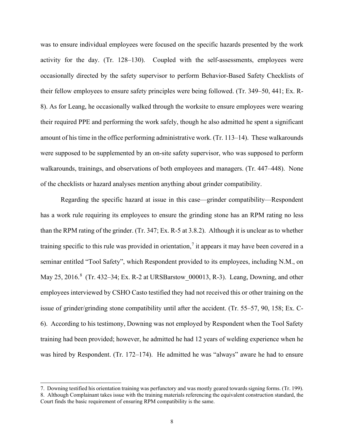was to ensure individual employees were focused on the specific hazards presented by the work activity for the day. (Tr. 128–130). Coupled with the self-assessments, employees were occasionally directed by the safety supervisor to perform Behavior-Based Safety Checklists of their fellow employees to ensure safety principles were being followed. (Tr. 349–50, 441; Ex. R-8). As for Leang, he occasionally walked through the worksite to ensure employees were wearing their required PPE and performing the work safely, though he also admitted he spent a significant amount of his time in the office performing administrative work. (Tr. 113–14). These walkarounds were supposed to be supplemented by an on-site safety supervisor, who was supposed to perform walkarounds, trainings, and observations of both employees and managers. (Tr. 447–448). None of the checklists or hazard analyses mention anything about grinder compatibility.

Regarding the specific hazard at issue in this case—grinder compatibility—Respondent has a work rule requiring its employees to ensure the grinding stone has an RPM rating no less than the RPM rating of the grinder. (Tr. 347; Ex. R-5 at 3.8.2). Although it is unclear as to whether training specific to this rule was provided in orientation,<sup>[7](#page-7-0)</sup> it appears it may have been covered in a seminar entitled "Tool Safety", which Respondent provided to its employees, including N.M., on May 25, 2016.<sup>[8](#page-7-1)</sup> (Tr. 432-34; Ex. R-2 at URSBarstow\_000013, R-3). Leang, Downing, and other employees interviewed by CSHO Casto testified they had not received this or other training on the issue of grinder/grinding stone compatibility until after the accident. (Tr. 55–57, 90, 158; Ex. C-6). According to his testimony, Downing was not employed by Respondent when the Tool Safety training had been provided; however, he admitted he had 12 years of welding experience when he was hired by Respondent. (Tr. 172–174). He admitted he was "always" aware he had to ensure

<span id="page-7-0"></span><sup>7.</sup> Downing testified his orientation training was perfunctory and was mostly geared towards signing forms. (Tr. 199). 8. Although Complainant takes issue with the training materials referencing the equivalent construction standard, the

<span id="page-7-1"></span>Court finds the basic requirement of ensuring RPM compatibility is the same.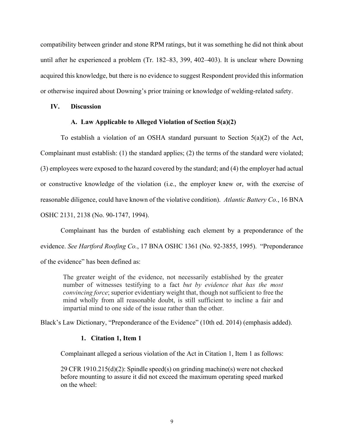compatibility between grinder and stone RPM ratings, but it was something he did not think about until after he experienced a problem (Tr. 182–83, 399, 402–403). It is unclear where Downing acquired this knowledge, but there is no evidence to suggest Respondent provided this information or otherwise inquired about Downing's prior training or knowledge of welding-related safety.

## **IV. Discussion**

## **A. Law Applicable to Alleged Violation of Section 5(a)(2)**

To establish a violation of an OSHA standard pursuant to Section  $5(a)(2)$  of the Act, Complainant must establish: (1) the standard applies; (2) the terms of the standard were violated; (3) employees were exposed to the hazard covered by the standard; and (4) the employer had actual or constructive knowledge of the violation (i.e., the employer knew or, with the exercise of reasonable diligence, could have known of the violative condition). *Atlantic Battery Co.*, 16 BNA OSHC 2131, 2138 (No. 90-1747, 1994).

Complainant has the burden of establishing each element by a preponderance of the evidence. *See Hartford Roofing Co.*, 17 BNA OSHC 1361 (No. 92-3855, 1995). "Preponderance of the evidence" has been defined as:

The greater weight of the evidence, not necessarily established by the greater number of witnesses testifying to a fact *but by evidence that has the most convincing force*; superior evidentiary weight that, though not sufficient to free the mind wholly from all reasonable doubt, is still sufficient to incline a fair and impartial mind to one side of the issue rather than the other.

Black's Law Dictionary, "Preponderance of the Evidence" (10th ed. 2014) (emphasis added).

## **1. Citation 1, Item 1**

Complainant alleged a serious violation of the Act in Citation 1, Item 1 as follows:

29 CFR 1910.215(d)(2): Spindle speed(s) on grinding machine(s) were not checked before mounting to assure it did not exceed the maximum operating speed marked on the wheel: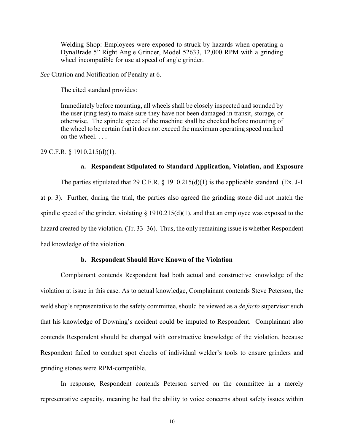Welding Shop: Employees were exposed to struck by hazards when operating a DynaBrade 5" Right Angle Grinder, Model 52633, 12,000 RPM with a grinding wheel incompatible for use at speed of angle grinder.

*See* Citation and Notification of Penalty at 6.

The cited standard provides:

Immediately before mounting, all wheels shall be closely inspected and sounded by the user (ring test) to make sure they have not been damaged in transit, storage, or otherwise. The spindle speed of the machine shall be checked before mounting of the wheel to be certain that it does not exceed the maximum operating speed marked on the wheel. . . .

29 C.F.R. § 1910.215(d)(1).

## **a. Respondent Stipulated to Standard Application, Violation, and Exposure**

The parties stipulated that 29 C.F.R.  $\S$  1910.215(d)(1) is the applicable standard. (Ex. J-1 at p. 3). Further, during the trial, the parties also agreed the grinding stone did not match the spindle speed of the grinder, violating  $\S$  1910.215(d)(1), and that an employee was exposed to the hazard created by the violation. (Tr. 33–36). Thus, the only remaining issue is whether Respondent had knowledge of the violation.

## **b. Respondent Should Have Known of the Violation**

Complainant contends Respondent had both actual and constructive knowledge of the violation at issue in this case. As to actual knowledge, Complainant contends Steve Peterson, the weld shop's representative to the safety committee, should be viewed as a *de facto* supervisor such that his knowledge of Downing's accident could be imputed to Respondent. Complainant also contends Respondent should be charged with constructive knowledge of the violation, because Respondent failed to conduct spot checks of individual welder's tools to ensure grinders and grinding stones were RPM-compatible.

In response, Respondent contends Peterson served on the committee in a merely representative capacity, meaning he had the ability to voice concerns about safety issues within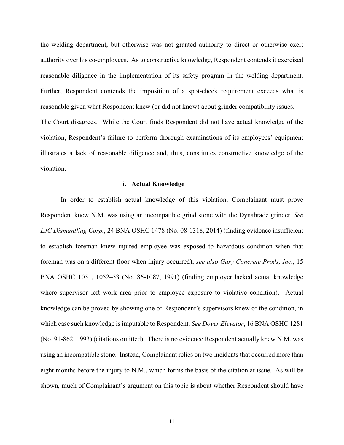the welding department, but otherwise was not granted authority to direct or otherwise exert authority over his co-employees. As to constructive knowledge, Respondent contends it exercised reasonable diligence in the implementation of its safety program in the welding department. Further, Respondent contends the imposition of a spot-check requirement exceeds what is reasonable given what Respondent knew (or did not know) about grinder compatibility issues. The Court disagrees. While the Court finds Respondent did not have actual knowledge of the violation, Respondent's failure to perform thorough examinations of its employees' equipment illustrates a lack of reasonable diligence and, thus, constitutes constructive knowledge of the violation.

#### **i. Actual Knowledge**

In order to establish actual knowledge of this violation, Complainant must prove Respondent knew N.M. was using an incompatible grind stone with the Dynabrade grinder. *See LJC Dismantling Corp.*, 24 BNA OSHC 1478 (No. 08-1318, 2014) (finding evidence insufficient to establish foreman knew injured employee was exposed to hazardous condition when that foreman was on a different floor when injury occurred); *see also Gary Concrete Prods, Inc.*, 15 BNA OSHC 1051, 1052–53 (No. 86-1087, 1991) (finding employer lacked actual knowledge where supervisor left work area prior to employee exposure to violative condition). Actual knowledge can be proved by showing one of Respondent's supervisors knew of the condition, in which case such knowledge is imputable to Respondent. *See Dover Elevator*, 16 BNA OSHC 1281 (No. 91-862, 1993) (citations omitted). There is no evidence Respondent actually knew N.M. was using an incompatible stone. Instead, Complainant relies on two incidents that occurred more than eight months before the injury to N.M., which forms the basis of the citation at issue. As will be shown, much of Complainant's argument on this topic is about whether Respondent should have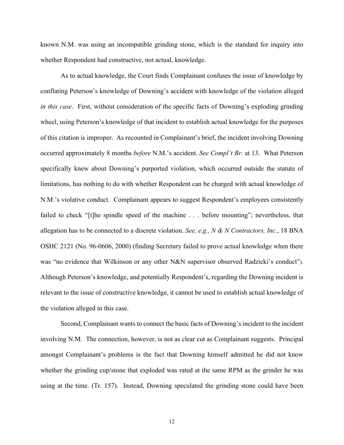known N.M. was using an incompatible grinding stone, which is the standard for inquiry into whether Respondent had constructive, not actual, knowledge.

As to actual knowledge, the Court finds Complainant confuses the issue of knowledge by conflating Peterson's knowledge of Downing's accident with knowledge of the violation alleged *in this case*. First, without consideration of the specific facts of Downing's exploding grinding wheel, using Peterson's knowledge of that incident to establish actual knowledge for the purposes of this citation is improper. As recounted in Complainant's brief, the incident involving Downing occurred approximately 8 months *before* N.M.'s accident. *See Compl't Br.* at 13. What Peterson specifically knew about Downing's purported violation, which occurred outside the statute of limitations, has nothing to do with whether Respondent can be charged with actual knowledge of N.M.'s violative conduct. Complainant appears to suggest Respondent's employees consistently failed to check "[t]he spindle speed of the machine . . . before mounting"; nevertheless, that allegation has to be connected to a discrete violation. *See, e.g., N & N Contractors, Inc.*, 18 BNA OSHC 2121 (No. 96-0606, 2000) (finding Secretary failed to prove actual knowledge when there was "no evidence that Wilkinson or any other N&N supervisor observed Radzicki's conduct"). Although Peterson's knowledge, and potentially Respondent's, regarding the Downing incident is relevant to the issue of constructive knowledge, it cannot be used to establish actual knowledge of the violation alleged in this case.

 Second, Complainant wants to connect the basic facts of Downing's incident to the incident involving N.M. The connection, however, is not as clear cut as Complainant suggests. Principal amongst Complainant's problems is the fact that Downing himself admitted he did not know whether the grinding cup/stone that exploded was rated at the same RPM as the grinder he was using at the time. (Tr. 157). Instead, Downing speculated the grinding stone could have been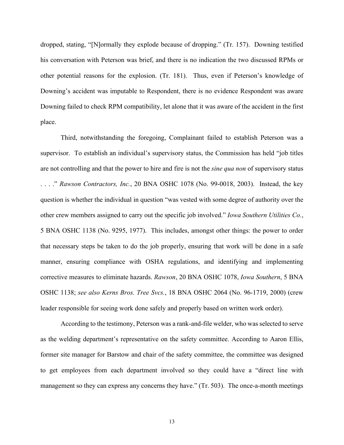dropped, stating, "[N]ormally they explode because of dropping." (Tr. 157). Downing testified his conversation with Peterson was brief, and there is no indication the two discussed RPMs or other potential reasons for the explosion. (Tr. 181). Thus, even if Peterson's knowledge of Downing's accident was imputable to Respondent, there is no evidence Respondent was aware Downing failed to check RPM compatibility, let alone that it was aware of the accident in the first place.

 Third, notwithstanding the foregoing, Complainant failed to establish Peterson was a supervisor. To establish an individual's supervisory status, the Commission has held "job titles are not controlling and that the power to hire and fire is not the *sine qua non* of supervisory status . . . ." *Rawson Contractors, Inc.*, 20 BNA OSHC 1078 (No. 99-0018, 2003). Instead, the key question is whether the individual in question "was vested with some degree of authority over the other crew members assigned to carry out the specific job involved." *Iowa Southern Utilities Co.*, 5 BNA OSHC 1138 (No. 9295, 1977). This includes, amongst other things: the power to order that necessary steps be taken to do the job properly, ensuring that work will be done in a safe manner, ensuring compliance with OSHA regulations, and identifying and implementing corrective measures to eliminate hazards. *Rawson*, 20 BNA OSHC 1078, *Iowa Southern*, 5 BNA OSHC 1138; *see also Kerns Bros. Tree Svcs.*, 18 BNA OSHC 2064 (No. 96-1719, 2000) (crew leader responsible for seeing work done safely and properly based on written work order).

According to the testimony, Peterson was a rank-and-file welder, who was selected to serve as the welding department's representative on the safety committee. According to Aaron Ellis, former site manager for Barstow and chair of the safety committee, the committee was designed to get employees from each department involved so they could have a "direct line with management so they can express any concerns they have." (Tr. 503). The once-a-month meetings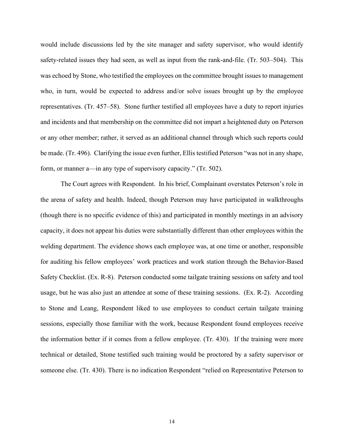would include discussions led by the site manager and safety supervisor, who would identify safety-related issues they had seen, as well as input from the rank-and-file. (Tr. 503–504). This was echoed by Stone, who testified the employees on the committee brought issues to management who, in turn, would be expected to address and/or solve issues brought up by the employee representatives. (Tr. 457–58). Stone further testified all employees have a duty to report injuries and incidents and that membership on the committee did not impart a heightened duty on Peterson or any other member; rather, it served as an additional channel through which such reports could be made. (Tr. 496). Clarifying the issue even further, Ellis testified Peterson "was not in any shape, form, or manner a—in any type of supervisory capacity." (Tr. 502).

The Court agrees with Respondent. In his brief, Complainant overstates Peterson's role in the arena of safety and health. Indeed, though Peterson may have participated in walkthroughs (though there is no specific evidence of this) and participated in monthly meetings in an advisory capacity, it does not appear his duties were substantially different than other employees within the welding department. The evidence shows each employee was, at one time or another, responsible for auditing his fellow employees' work practices and work station through the Behavior-Based Safety Checklist. (Ex. R-8). Peterson conducted some tailgate training sessions on safety and tool usage, but he was also just an attendee at some of these training sessions. (Ex. R-2). According to Stone and Leang, Respondent liked to use employees to conduct certain tailgate training sessions, especially those familiar with the work, because Respondent found employees receive the information better if it comes from a fellow employee. (Tr. 430). If the training were more technical or detailed, Stone testified such training would be proctored by a safety supervisor or someone else. (Tr. 430). There is no indication Respondent "relied on Representative Peterson to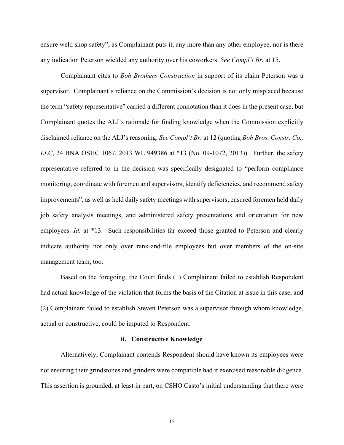ensure weld shop safety", as Complainant puts it, any more than any other employee, nor is there any indication Peterson wielded any authority over his coworkers. *See Compl't Br.* at 15.

 Complainant cites to *Boh Brothers Construction* in support of its claim Peterson was a supervisor. Complainant's reliance on the Commission's decision is not only misplaced because the term "safety representative" carried a different connotation than it does in the present case, but Complainant quotes the ALJ's rationale for finding knowledge when the Commission explicitly disclaimed reliance on the ALJ's reasoning. *See Compl't Br.* at 12 (quoting *Boh Bros. Constr. Co., LLC*, 24 BNA OSHC 1067, 2013 WL 949386 at \*13 (No. 09-1072, 2013)). Further, the safety representative referred to in the decision was specifically designated to "perform compliance monitoring, coordinate with foremen and supervisors, identify deficiencies, and recommend safety improvements", as well as held daily safety meetings with supervisors, ensured foremen held daily job safety analysis meetings, and administered safety presentations and orientation for new employees. *Id.* at \*13. Such responsibilities far exceed those granted to Peterson and clearly indicate authority not only over rank-and-file employees but over members of the on-site management team, too.

Based on the foregoing, the Court finds (1) Complainant failed to establish Respondent had actual knowledge of the violation that forms the basis of the Citation at issue in this case, and (2) Complainant failed to establish Steven Peterson was a supervisor through whom knowledge, actual or constructive, could be imputed to Respondent.

#### **ii. Constructive Knowledge**

Alternatively, Complainant contends Respondent should have known its employees were not ensuring their grindstones and grinders were compatible had it exercised reasonable diligence. This assertion is grounded, at least in part, on CSHO Casto's initial understanding that there were

15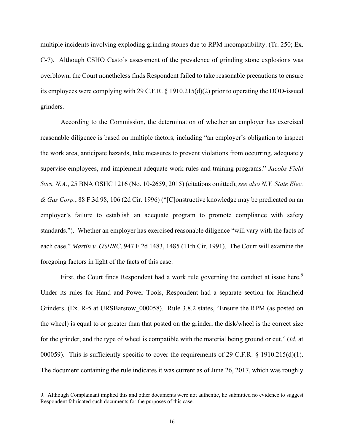multiple incidents involving exploding grinding stones due to RPM incompatibility. (Tr. 250; Ex. C-7). Although CSHO Casto's assessment of the prevalence of grinding stone explosions was overblown, the Court nonetheless finds Respondent failed to take reasonable precautions to ensure its employees were complying with 29 C.F.R. § 1910.215(d)(2) prior to operating the DOD-issued grinders.

According to the Commission, the determination of whether an employer has exercised reasonable diligence is based on multiple factors, including "an employer's obligation to inspect the work area, anticipate hazards, take measures to prevent violations from occurring, adequately supervise employees, and implement adequate work rules and training programs." *Jacobs Field Svcs. N.A.*, 25 BNA OSHC 1216 (No. 10-2659, 2015) (citations omitted); *see also N.Y. State Elec. & Gas Corp.*, 88 F.3d 98, 106 (2d Cir. 1996) ("[C]onstructive knowledge may be predicated on an employer's failure to establish an adequate program to promote compliance with safety standards."). Whether an employer has exercised reasonable diligence "will vary with the facts of each case." *Martin v. OSHRC*, 947 F.2d 1483, 1485 (11th Cir. 1991). The Court will examine the foregoing factors in light of the facts of this case.

First, the Court finds Respondent had a work rule governing the conduct at issue here.<sup>[9](#page-15-0)</sup> Under its rules for Hand and Power Tools, Respondent had a separate section for Handheld Grinders. (Ex. R-5 at URSBarstow 000058). Rule 3.8.2 states, "Ensure the RPM (as posted on the wheel) is equal to or greater than that posted on the grinder, the disk/wheel is the correct size for the grinder, and the type of wheel is compatible with the material being ground or cut." (*Id.* at 000059). This is sufficiently specific to cover the requirements of 29 C.F.R. § 1910.215(d)(1). The document containing the rule indicates it was current as of June 26, 2017, which was roughly

<span id="page-15-0"></span><sup>9.</sup> Although Complainant implied this and other documents were not authentic, he submitted no evidence to suggest Respondent fabricated such documents for the purposes of this case.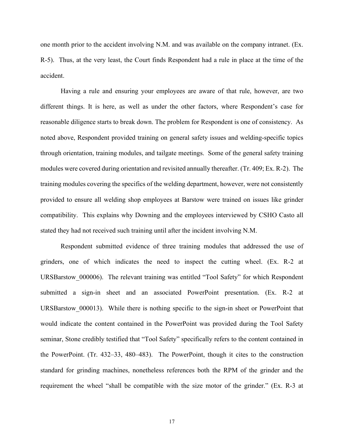one month prior to the accident involving N.M. and was available on the company intranet. (Ex. R-5). Thus, at the very least, the Court finds Respondent had a rule in place at the time of the accident.

Having a rule and ensuring your employees are aware of that rule, however, are two different things. It is here, as well as under the other factors, where Respondent's case for reasonable diligence starts to break down. The problem for Respondent is one of consistency. As noted above, Respondent provided training on general safety issues and welding-specific topics through orientation, training modules, and tailgate meetings. Some of the general safety training modules were covered during orientation and revisited annually thereafter. (Tr. 409; Ex. R-2). The training modules covering the specifics of the welding department, however, were not consistently provided to ensure all welding shop employees at Barstow were trained on issues like grinder compatibility. This explains why Downing and the employees interviewed by CSHO Casto all stated they had not received such training until after the incident involving N.M.

Respondent submitted evidence of three training modules that addressed the use of grinders, one of which indicates the need to inspect the cutting wheel. (Ex. R-2 at URSBarstow 000006). The relevant training was entitled "Tool Safety" for which Respondent submitted a sign-in sheet and an associated PowerPoint presentation. (Ex. R-2 at URSBarstow 000013). While there is nothing specific to the sign-in sheet or PowerPoint that would indicate the content contained in the PowerPoint was provided during the Tool Safety seminar, Stone credibly testified that "Tool Safety" specifically refers to the content contained in the PowerPoint. (Tr. 432–33, 480–483). The PowerPoint, though it cites to the construction standard for grinding machines, nonetheless references both the RPM of the grinder and the requirement the wheel "shall be compatible with the size motor of the grinder." (Ex. R-3 at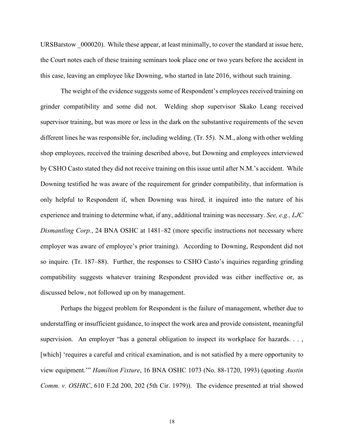URSBarstow 000020). While these appear, at least minimally, to cover the standard at issue here, the Court notes each of these training seminars took place one or two years before the accident in this case, leaving an employee like Downing, who started in late 2016, without such training.

The weight of the evidence suggests some of Respondent's employees received training on grinder compatibility and some did not. Welding shop supervisor Skako Leang received supervisor training, but was more or less in the dark on the substantive requirements of the seven different lines he was responsible for, including welding. (Tr. 55). N.M., along with other welding shop employees, received the training described above, but Downing and employees interviewed by CSHO Casto stated they did not receive training on this issue until after N.M.'s accident. While Downing testified he was aware of the requirement for grinder compatibility, that information is only helpful to Respondent if, when Downing was hired, it inquired into the nature of his experience and training to determine what, if any, additional training was necessary. *See, e.g., LJC Dismantling Corp.*, 24 BNA OSHC at 1481–82 (more specific instructions not necessary where employer was aware of employee's prior training). According to Downing, Respondent did not so inquire. (Tr. 187–88). Further, the responses to CSHO Casto's inquiries regarding grinding compatibility suggests whatever training Respondent provided was either ineffective or, as discussed below, not followed up on by management.

Perhaps the biggest problem for Respondent is the failure of management, whether due to understaffing or insufficient guidance, to inspect the work area and provide consistent, meaningful supervision. An employer "has a general obligation to inspect its workplace for hazards..., [which] 'requires a careful and critical examination, and is not satisfied by a mere opportunity to view equipment.'" *Hamilton Fixture*, 16 BNA OSHC 1073 (No. 88-1720, 1993) (quoting *Austin Comm. v. OSHRC*, 610 F.2d 200, 202 (5th Cir. 1979)). The evidence presented at trial showed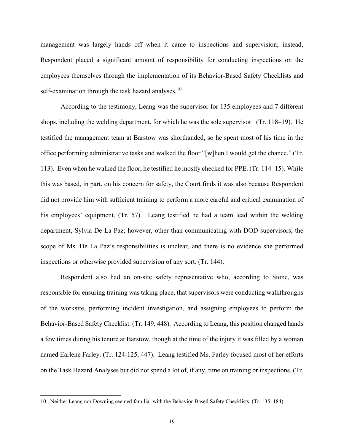management was largely hands off when it came to inspections and supervision; instead, Respondent placed a significant amount of responsibility for conducting inspections on the employees themselves through the implementation of its Behavior-Based Safety Checklists and self-examination through the task hazard analyses.<sup>[10](#page-18-0)</sup>

According to the testimony, Leang was the supervisor for 135 employees and 7 different shops, including the welding department, for which he was the sole supervisor. (Tr. 118–19). He testified the management team at Barstow was shorthanded, so he spent most of his time in the office performing administrative tasks and walked the floor "[w]hen I would get the chance." (Tr. 113). Even when he walked the floor, he testified he mostly checked for PPE. (Tr. 114–15). While this was based, in part, on his concern for safety, the Court finds it was also because Respondent did not provide him with sufficient training to perform a more careful and critical examination of his employees' equipment. (Tr. 57). Leang testified he had a team lead within the welding department, Sylvia De La Paz; however, other than communicating with DOD supervisors, the scope of Ms. De La Paz's responsibilities is unclear, and there is no evidence she performed inspections or otherwise provided supervision of any sort. (Tr. 144).

Respondent also had an on-site safety representative who, according to Stone, was responsible for ensuring training was taking place, that supervisors were conducting walkthroughs of the worksite, performing incident investigation, and assigning employees to perform the Behavior-Based Safety Checklist. (Tr. 149, 448). According to Leang, this position changed hands a few times during his tenure at Barstow, though at the time of the injury it was filled by a woman named Earlene Farley. (Tr. 124-125, 447). Leang testified Ms. Farley focused most of her efforts on the Task Hazard Analyses but did not spend a lot of, if any, time on training or inspections. (Tr.

<span id="page-18-0"></span><sup>10.</sup> Neither Leang nor Downing seemed familiar with the Behavior-Based Safety Checklists. (Tr. 135, 184).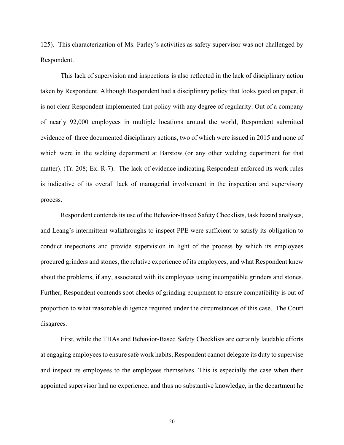125). This characterization of Ms. Farley's activities as safety supervisor was not challenged by Respondent.

This lack of supervision and inspections is also reflected in the lack of disciplinary action taken by Respondent. Although Respondent had a disciplinary policy that looks good on paper, it is not clear Respondent implemented that policy with any degree of regularity. Out of a company of nearly 92,000 employees in multiple locations around the world, Respondent submitted evidence of three documented disciplinary actions, two of which were issued in 2015 and none of which were in the welding department at Barstow (or any other welding department for that matter). (Tr. 208; Ex. R-7). The lack of evidence indicating Respondent enforced its work rules is indicative of its overall lack of managerial involvement in the inspection and supervisory process.

Respondent contends its use of the Behavior-Based Safety Checklists, task hazard analyses, and Leang's intermittent walkthroughs to inspect PPE were sufficient to satisfy its obligation to conduct inspections and provide supervision in light of the process by which its employees procured grinders and stones, the relative experience of its employees, and what Respondent knew about the problems, if any, associated with its employees using incompatible grinders and stones. Further, Respondent contends spot checks of grinding equipment to ensure compatibility is out of proportion to what reasonable diligence required under the circumstances of this case. The Court disagrees.

 First, while the THAs and Behavior-Based Safety Checklists are certainly laudable efforts at engaging employees to ensure safe work habits, Respondent cannot delegate its duty to supervise and inspect its employees to the employees themselves. This is especially the case when their appointed supervisor had no experience, and thus no substantive knowledge, in the department he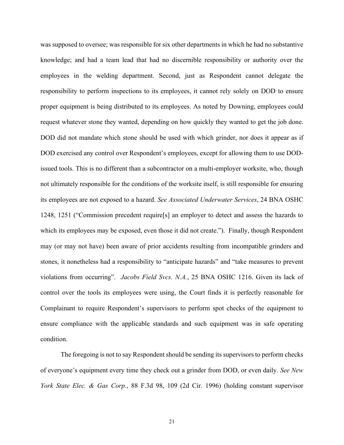was supposed to oversee; was responsible for six other departments in which he had no substantive knowledge; and had a team lead that had no discernible responsibility or authority over the employees in the welding department. Second, just as Respondent cannot delegate the responsibility to perform inspections to its employees, it cannot rely solely on DOD to ensure proper equipment is being distributed to its employees. As noted by Downing, employees could request whatever stone they wanted, depending on how quickly they wanted to get the job done. DOD did not mandate which stone should be used with which grinder, nor does it appear as if DOD exercised any control over Respondent's employees, except for allowing them to use DODissued tools. This is no different than a subcontractor on a multi-employer worksite, who, though not ultimately responsible for the conditions of the worksite itself, is still responsible for ensuring its employees are not exposed to a hazard. *See Associated Underwater Services*, 24 BNA OSHC 1248, 1251 ("Commission precedent require[s] an employer to detect and assess the hazards to which its employees may be exposed, even those it did not create."). Finally, though Respondent may (or may not have) been aware of prior accidents resulting from incompatible grinders and stones, it nonetheless had a responsibility to "anticipate hazards" and "take measures to prevent violations from occurring". *Jacobs Field Svcs. N.A.*, 25 BNA OSHC 1216. Given its lack of control over the tools its employees were using, the Court finds it is perfectly reasonable for Complainant to require Respondent's supervisors to perform spot checks of the equipment to ensure compliance with the applicable standards and such equipment was in safe operating condition.

The foregoing is not to say Respondent should be sending its supervisors to perform checks of everyone's equipment every time they check out a grinder from DOD, or even daily. *See New York State Elec. & Gas Corp.*, 88 F.3d 98, 109 (2d Cir. 1996) (holding constant supervisor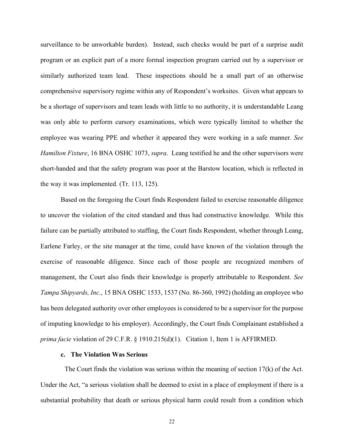surveillance to be unworkable burden). Instead, such checks would be part of a surprise audit program or an explicit part of a more formal inspection program carried out by a supervisor or similarly authorized team lead. These inspections should be a small part of an otherwise comprehensive supervisory regime within any of Respondent's worksites. Given what appears to be a shortage of supervisors and team leads with little to no authority, it is understandable Leang was only able to perform cursory examinations, which were typically limited to whether the employee was wearing PPE and whether it appeared they were working in a safe manner. *See Hamilton Fixture*, 16 BNA OSHC 1073, *supra*. Leang testified he and the other supervisors were short-handed and that the safety program was poor at the Barstow location, which is reflected in the way it was implemented. (Tr. 113, 125).

 Based on the foregoing the Court finds Respondent failed to exercise reasonable diligence to uncover the violation of the cited standard and thus had constructive knowledge. While this failure can be partially attributed to staffing, the Court finds Respondent, whether through Leang, Earlene Farley, or the site manager at the time, could have known of the violation through the exercise of reasonable diligence. Since each of those people are recognized members of management, the Court also finds their knowledge is properly attributable to Respondent. *See Tampa Shipyards, Inc.*, 15 BNA OSHC 1533, 1537 (No. 86-360, 1992) (holding an employee who has been delegated authority over other employees is considered to be a supervisor for the purpose of imputing knowledge to his employer). Accordingly, the Court finds Complainant established a *prima facie* violation of 29 C.F.R. § 1910.215(d)(1). Citation 1, Item 1 is AFFIRMED.

### **c. The Violation Was Serious**

The Court finds the violation was serious within the meaning of section 17(k) of the Act. Under the Act, "a serious violation shall be deemed to exist in a place of employment if there is a substantial probability that death or serious physical harm could result from a condition which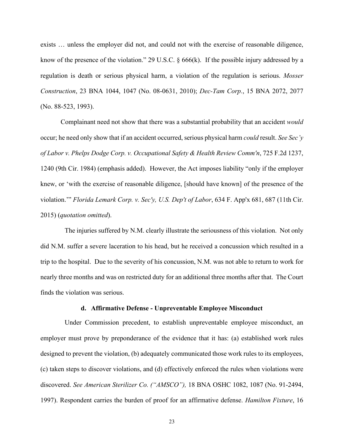exists … unless the employer did not, and could not with the exercise of reasonable diligence, know of the presence of the violation." 29 U.S.C. § 666(k). If the possible injury addressed by a regulation is death or serious physical harm, a violation of the regulation is serious. *Mosser Construction*, 23 BNA 1044, 1047 (No. 08-0631, 2010); *Dec-Tam Corp.*, 15 BNA 2072, 2077 (No. 88-523, 1993).

 Complainant need not show that there was a substantial probability that an accident *would*  occur; he need only show that if an accident occurred, serious physical harm *could* result. *See Sec'y of Labor v. Phelps Dodge Corp. v. Occupational Safety & Health Review Comm'n*, 725 F.2d 1237, 1240 (9th Cir. 1984) (emphasis added). However, the Act imposes liability "only if the employer knew, or 'with the exercise of reasonable diligence, [should have known] of the presence of the violation.'" *Florida Lemark Corp. v. Sec'y, U.S. Dep't of Labor*, 634 F. App'x 681, 687 (11th Cir. 2015) (*quotation omitted*).

 The injuries suffered by N.M. clearly illustrate the seriousness of this violation. Not only did N.M. suffer a severe laceration to his head, but he received a concussion which resulted in a trip to the hospital. Due to the severity of his concussion, N.M. was not able to return to work for nearly three months and was on restricted duty for an additional three months after that. The Court finds the violation was serious.

## **d. Affirmative Defense - Unpreventable Employee Misconduct**

Under Commission precedent, to establish unpreventable employee misconduct, an employer must prove by preponderance of the evidence that it has: (a) established work rules designed to prevent the violation, (b) adequately communicated those work rules to its employees, (c) taken steps to discover violations, and (d) effectively enforced the rules when violations were discovered. *See American Sterilizer Co. ("AMSCO"),* 18 BNA OSHC 1082, 1087 (No. 91-2494, 1997). Respondent carries the burden of proof for an affirmative defense. *Hamilton Fixture*, 16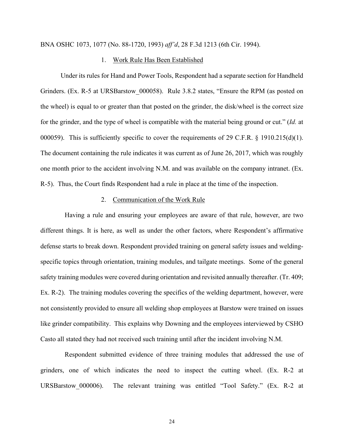BNA OSHC 1073, 1077 (No. 88-1720, 1993) *aff'd*, 28 F.3d 1213 (6th Cir. 1994).

## 1. Work Rule Has Been Established

Under its rules for Hand and Power Tools, Respondent had a separate section for Handheld Grinders. (Ex. R-5 at URSBarstow 000058). Rule 3.8.2 states, "Ensure the RPM (as posted on the wheel) is equal to or greater than that posted on the grinder, the disk/wheel is the correct size for the grinder, and the type of wheel is compatible with the material being ground or cut." (*Id.* at 000059). This is sufficiently specific to cover the requirements of 29 C.F.R. § 1910.215(d)(1). The document containing the rule indicates it was current as of June 26, 2017, which was roughly one month prior to the accident involving N.M. and was available on the company intranet. (Ex. R-5). Thus, the Court finds Respondent had a rule in place at the time of the inspection.

## 2. Communication of the Work Rule

 Having a rule and ensuring your employees are aware of that rule, however, are two different things. It is here, as well as under the other factors, where Respondent's affirmative defense starts to break down. Respondent provided training on general safety issues and weldingspecific topics through orientation, training modules, and tailgate meetings. Some of the general safety training modules were covered during orientation and revisited annually thereafter. (Tr. 409; Ex. R-2). The training modules covering the specifics of the welding department, however, were not consistently provided to ensure all welding shop employees at Barstow were trained on issues like grinder compatibility. This explains why Downing and the employees interviewed by CSHO Casto all stated they had not received such training until after the incident involving N.M.

 Respondent submitted evidence of three training modules that addressed the use of grinders, one of which indicates the need to inspect the cutting wheel. (Ex. R-2 at URSBarstow 000006). The relevant training was entitled "Tool Safety." (Ex. R-2 at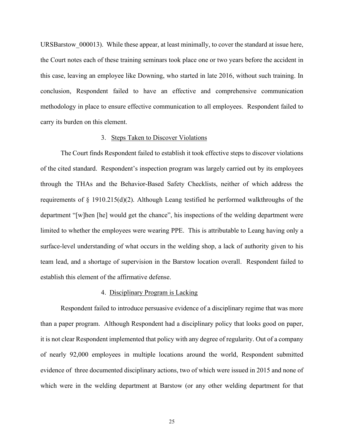URSBarstow 000013). While these appear, at least minimally, to cover the standard at issue here, the Court notes each of these training seminars took place one or two years before the accident in this case, leaving an employee like Downing, who started in late 2016, without such training. In conclusion, Respondent failed to have an effective and comprehensive communication methodology in place to ensure effective communication to all employees. Respondent failed to carry its burden on this element.

## 3. Steps Taken to Discover Violations

 The Court finds Respondent failed to establish it took effective steps to discover violations of the cited standard. Respondent's inspection program was largely carried out by its employees through the THAs and the Behavior-Based Safety Checklists, neither of which address the requirements of  $\S$  1910.215(d)(2). Although Leang testified he performed walkthroughs of the department "[w]hen [he] would get the chance", his inspections of the welding department were limited to whether the employees were wearing PPE. This is attributable to Leang having only a surface-level understanding of what occurs in the welding shop, a lack of authority given to his team lead, and a shortage of supervision in the Barstow location overall. Respondent failed to establish this element of the affirmative defense.

### 4. Disciplinary Program is Lacking

Respondent failed to introduce persuasive evidence of a disciplinary regime that was more than a paper program. Although Respondent had a disciplinary policy that looks good on paper, it is not clear Respondent implemented that policy with any degree of regularity. Out of a company of nearly 92,000 employees in multiple locations around the world, Respondent submitted evidence of three documented disciplinary actions, two of which were issued in 2015 and none of which were in the welding department at Barstow (or any other welding department for that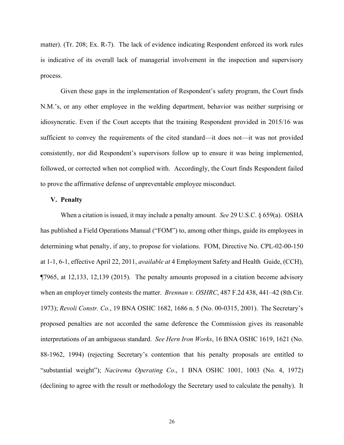matter). (Tr. 208; Ex. R-7). The lack of evidence indicating Respondent enforced its work rules is indicative of its overall lack of managerial involvement in the inspection and supervisory process.

Given these gaps in the implementation of Respondent's safety program, the Court finds N.M.'s, or any other employee in the welding department, behavior was neither surprising or idiosyncratic. Even if the Court accepts that the training Respondent provided in 2015/16 was sufficient to convey the requirements of the cited standard—it does not—it was not provided consistently, nor did Respondent's supervisors follow up to ensure it was being implemented, followed, or corrected when not complied with. Accordingly, the Court finds Respondent failed to prove the affirmative defense of unpreventable employee misconduct.

## **V. Penalty**

When a citation is issued, it may include a penalty amount. *See* 29 U.S.C. § 659(a). OSHA has published a Field Operations Manual ("FOM") to, among other things, guide its employees in determining what penalty, if any, to propose for violations. FOM, Directive No. CPL-02-00-150 at 1-1, 6-1, effective April 22, 2011, *available at* 4 Employment Safety and Health Guide, (CCH), ¶7965, at 12,133, 12,139 (2015). The penalty amounts proposed in a citation become advisory when an employer timely contests the matter. *Brennan v. OSHRC*, 487 F.2d 438, 441–42 (8th Cir. 1973); *Revoli Constr. Co.*, 19 BNA OSHC 1682, 1686 n. 5 (No. 00-0315, 2001). The Secretary's proposed penalties are not accorded the same deference the Commission gives its reasonable interpretations of an ambiguous standard. *See Hern Iron Works*, 16 BNA OSHC 1619, 1621 (No. 88-1962, 1994) (rejecting Secretary's contention that his penalty proposals are entitled to "substantial weight"); *Nacirema Operating Co*., 1 BNA OSHC 1001, 1003 (No. 4, 1972) (declining to agree with the result or methodology the Secretary used to calculate the penalty). It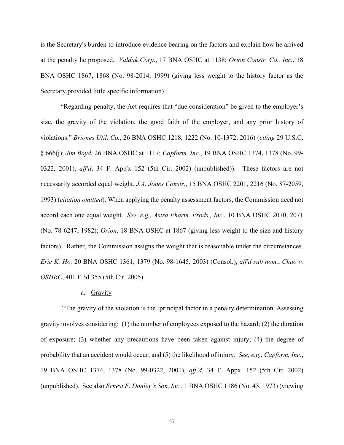is the Secretary's burden to introduce evidence bearing on the factors and explain how he arrived at the penalty he proposed. *Valdak Corp*., 17 BNA OSHC at 1138; *Orion Constr. Co., Inc.*, 18 BNA OSHC 1867, 1868 (No. 98-2014, 1999) (giving less weight to the history factor as the Secretary provided little specific information)

"Regarding penalty, the Act requires that "due consideration" be given to the employer's size, the gravity of the violation, the good faith of the employer, and any prior history of violations." *Briones Util. Co.*, 26 BNA OSHC 1218, 1222 (No. 10-1372, 2016) (*citing* 29 U.S.C. § 666(j); *Jim Boyd*, 26 BNA OSHC at 1117; *Capform, Inc.*, 19 BNA OSHC 1374, 1378 (No. 99- 0322, 2001), *aff'd*, 34 F. App'x 152 (5th Cir. 2002) (unpublished)). These factors are not necessarily accorded equal weight. *J.A. Jones Constr.*, 15 BNA OSHC 2201, 2216 (No. 87-2059, 1993) (*citation omitted*). When applying the penalty assessment factors, the Commission need not accord each one equal weight. *See, e.g.*, *Astra Pharm. Prods., Inc.*, 10 BNA OSHC 2070, 2071 (No. 78-6247, 1982); *Orion*, 18 BNA OSHC at 1867 (giving less weight to the size and history factors). Rather, the Commission assigns the weight that is reasonable under the circumstances. *Eric K. Ho,* 20 BNA OSHC 1361, 1379 (No. 98-1645, 2003) (Consol.), *aff'd sub nom.*, *Chao v. OSHRC*, 401 F.3d 355 (5th Cir. 2005).

#### a. Gravity

"The gravity of the violation is the 'principal factor in a penalty determination. Assessing gravity involves considering: (1) the number of employees exposed to the hazard; (2) the duration of exposure; (3) whether any precautions have been taken against injury; (4) the degree of probability that an accident would occur; and (5) the likelihood of injury. *See, e.g.*, *Capform, Inc.*, 19 BNA OSHC 1374, 1378 (No. 99-0322, 2001), *aff'd*, 34 F. Appx. 152 (5th Cir. 2002) (unpublished). See also *Ernest F. Donley's Son, Inc.*, 1 BNA OSHC 1186 (No. 43, 1973) (viewing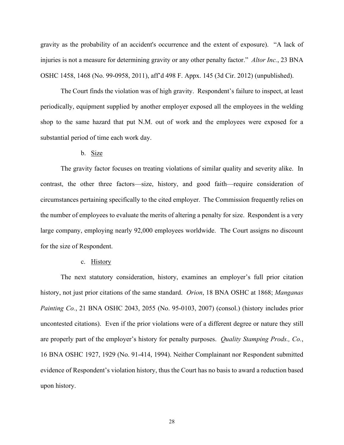gravity as the probability of an accident's occurrence and the extent of exposure). "A lack of injuries is not a measure for determining gravity or any other penalty factor." *Altor Inc.*, 23 BNA OSHC 1458, 1468 (No. 99-0958, 2011), aff'd 498 F. Appx. 145 (3d Cir. 2012) (unpublished).

The Court finds the violation was of high gravity. Respondent's failure to inspect, at least periodically, equipment supplied by another employer exposed all the employees in the welding shop to the same hazard that put N.M. out of work and the employees were exposed for a substantial period of time each work day.

## b. Size

The gravity factor focuses on treating violations of similar quality and severity alike. In contrast, the other three factors—size, history, and good faith—require consideration of circumstances pertaining specifically to the cited employer. The Commission frequently relies on the number of employees to evaluate the merits of altering a penalty for size. Respondent is a very large company, employing nearly 92,000 employees worldwide. The Court assigns no discount for the size of Respondent.

### c. History

The next statutory consideration, history, examines an employer's full prior citation history, not just prior citations of the same standard. *Orion*, 18 BNA OSHC at 1868; *Manganas Painting Co.*, 21 BNA OSHC 2043, 2055 (No. 95-0103, 2007) (consol.) (history includes prior uncontested citations). Even if the prior violations were of a different degree or nature they still are properly part of the employer's history for penalty purposes. *Quality Stamping Prods., Co.*, 16 BNA OSHC 1927, 1929 (No. 91-414, 1994). Neither Complainant nor Respondent submitted evidence of Respondent's violation history, thus the Court has no basis to award a reduction based upon history.